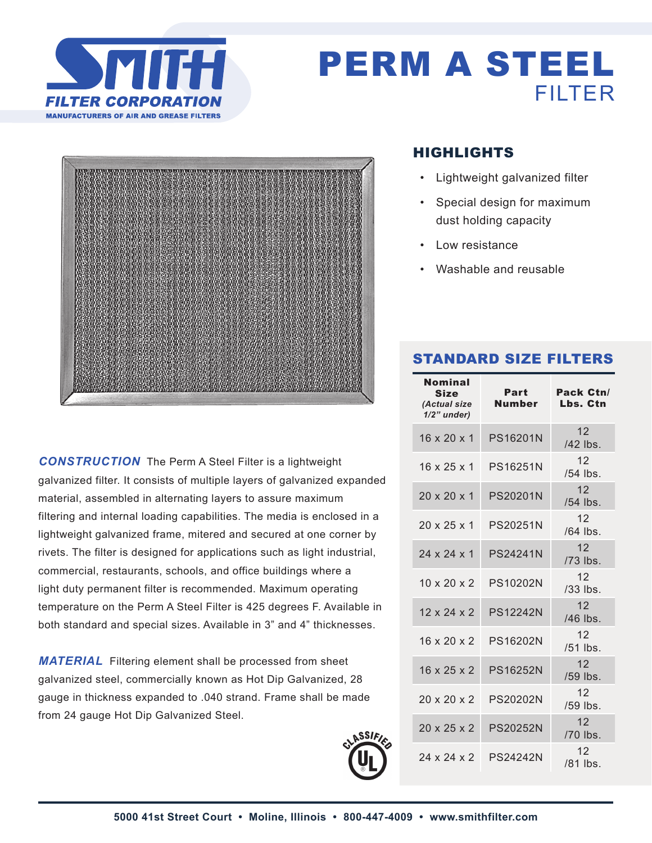

## PERM A STEEL FILTER



*CONSTRUCTION* The Perm A Steel Filter is a lightweight galvanized filter. It consists of multiple layers of galvanized expanded material, assembled in alternating layers to assure maximum filtering and internal loading capabilities. The media is enclosed in a lightweight galvanized frame, mitered and secured at one corner by rivets. The filter is designed for applications such as light industrial, commercial, restaurants, schools, and office buildings where a light duty permanent filter is recommended. Maximum operating temperature on the Perm A Steel Filter is 425 degrees F. Available in both standard and special sizes. Available in 3" and 4" thicknesses.

*MATERIAL* Filtering element shall be processed from sheet galvanized steel, commercially known as Hot Dip Galvanized, 28 gauge in thickness expanded to .040 strand. Frame shall be made from 24 gauge Hot Dip Galvanized Steel.



### HIGHLIGHTS

- Lightweight galvanized filter
- Special design for maximum dust holding capacity
- Low resistance
- Washable and reusable

#### STANDARD SIZE FILTERS

| <b>Nominal</b><br><b>Size</b><br>(Actual size<br>$1/2$ " under) | Part<br>Number  | Pack Ctn/<br>Lbs. Ctn         |
|-----------------------------------------------------------------|-----------------|-------------------------------|
| $16 \times 20 \times 1$                                         | PS16201N        | 12 <sup>2</sup><br>/42 lbs.   |
| $16 \times 25 \times 1$                                         | <b>PS16251N</b> | 12 <sup>°</sup><br>$/54$ lbs. |
| $20 \times 20 \times 1$                                         | <b>PS20201N</b> | 12 <sup>7</sup><br>/54 lbs.   |
| $20 \times 25 \times 1$                                         | <b>PS20251N</b> | 12 <sup>°</sup><br>$/64$ lbs. |
| 24 x 24 x 1                                                     | <b>PS24241N</b> | 12<br>/73 lbs.                |
| $10 \times 20 \times 2$                                         | <b>PS10202N</b> | 12 <sup>°</sup><br>$/33$ lbs. |
| $12 \times 24 \times 2$                                         | <b>PS12242N</b> | 12 <sup>2</sup><br>$/46$ lbs. |
| $16 \times 20 \times 2$                                         | PS16202N        | 12 <sup>°</sup><br>$/51$ lbs. |
| $16 \times 25 \times 2$                                         | <b>PS16252N</b> | 12 <sup>2</sup><br>$/59$ lbs. |
| $20 \times 20 \times 2$                                         | <b>PS20202N</b> | 12 <sup>°</sup><br>$/59$ lbs. |
| $20 \times 25 \times 2$                                         | <b>PS20252N</b> | 12 <sup>°</sup><br>/70 lbs.   |
| 24 x 24 x 2                                                     | <b>PS24242N</b> | 12 <sup>2</sup><br>$/81$ lbs. |